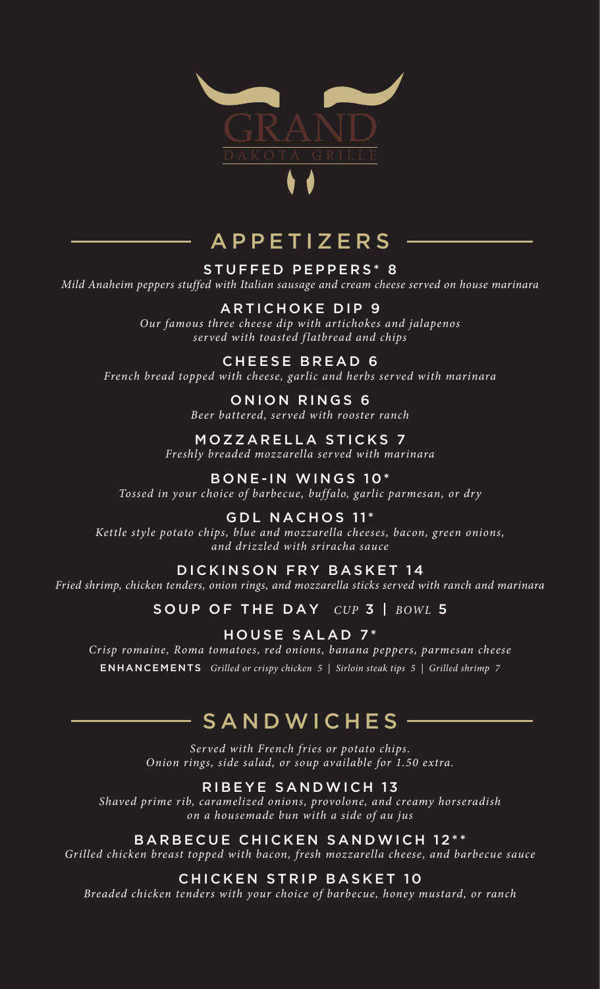

# APPETIZERS

STUFFED PEPPERS\* 8 *Mild Anaheim peppers stuffed with Italian sausage and cream cheese served on house marinara*

### ARTICHOKE DIP 9

*Our famous three cheese dip with artichokes and jalapenos served with toasted flatbread and chips*

### CHEESE BREAD 6

*French bread topped with cheese, garlic and herbs served with marinara*

#### ONION RINGS 6 *Beer battered, served with rooster ranch*

MOZZARELLA STICKS 7 *Freshly breaded mozzarella served with marinara*

BONE-IN WINGS 10\* *Tossed in your choice of barbecue, buffalo, garlic parmesan, or dry*

GDL NACHOS 11\* *Kettle style potato chips, blue and mozzarella cheeses, bacon, green onions, and drizzled with sriracha sauce*

### DICKINSON FRY BASKET 14

*Fried shrimp, chicken tenders, onion rings, and mozzarella sticks served with ranch and marinara* 

SOUP OF THE DAY *CUP* 3 | *BOWL* 5

HOUSE SALAD 7\* *Crisp romaine, Roma tomatoes, red onions, banana peppers, parmesan cheese* ENHANCEMENTS *Grilled or crispy chicken 5 | Sirloin steak tips 5 | Grilled shrimp 7*

# SANDWICHES

*Served with French fries or potato chips. Onion rings, side salad, or soup available for 1.50 extra.*

### RIBEYE SANDWICH 13

*Shaved prime rib, caramelized onions, provolone, and creamy horseradish on a housemade bun with a side of au jus* 

BARBECUE CHICKEN SANDWICH 12\*\*

*Grilled chicken breast topped with bacon, fresh mozzarella cheese, and barbecue sauce*

### CHICKEN STRIP BASKET 10

*Breaded chicken tenders with your choice of barbecue, honey mustard, or ranch*